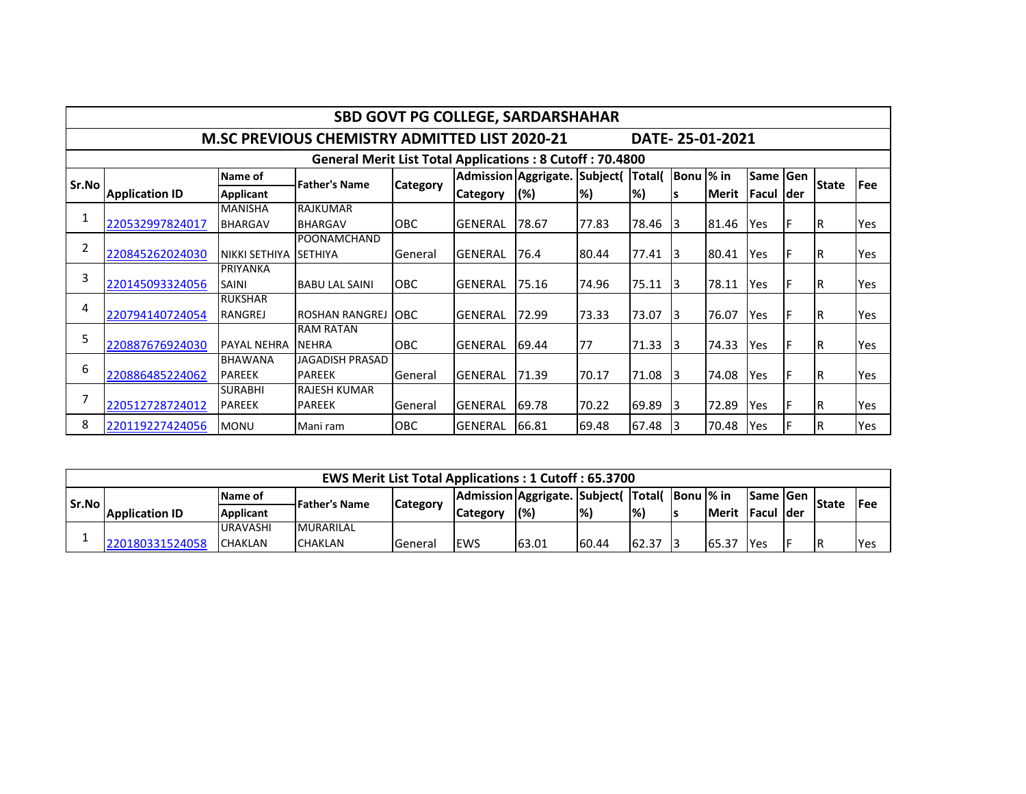| SBD GOVT PG COLLEGE, SARDARSHAHAR                               |                                                                         |                                  |                                      |                 |                 |                               |       |              |                 |        |                   |   |              |             |
|-----------------------------------------------------------------|-------------------------------------------------------------------------|----------------------------------|--------------------------------------|-----------------|-----------------|-------------------------------|-------|--------------|-----------------|--------|-------------------|---|--------------|-------------|
|                                                                 | DATE-25-01-2021<br><b>M.SC PREVIOUS CHEMISTRY ADMITTED LIST 2020-21</b> |                                  |                                      |                 |                 |                               |       |              |                 |        |                   |   |              |             |
| <b>General Merit List Total Applications: 8 Cutoff: 70.4800</b> |                                                                         |                                  |                                      |                 |                 |                               |       |              |                 |        |                   |   |              |             |
| Sr.No                                                           |                                                                         | Name of                          | <b>Father's Name</b>                 | <b>Category</b> |                 | Admission Aggrigate. Subject( |       | <b>Total</b> | Bonu  % in      |        | Same Gen          |   | <b>State</b> | <b>IFee</b> |
|                                                                 | <b>Application ID</b>                                                   | Applicant                        |                                      |                 | <b>Category</b> | (%)                           | l%)   | %)           | l S             | lMerit | <b>Facul Ider</b> |   |              |             |
|                                                                 |                                                                         | <b>MANISHA</b>                   | <b>RAJKUMAR</b>                      |                 |                 |                               |       |              |                 |        |                   |   |              |             |
|                                                                 | 220532997824017                                                         | <b>BHARGAV</b>                   | <b>BHARGAV</b>                       | <b>OBC</b>      | <b>GENERAL</b>  | 78.67                         | 77.83 | 78.46        | 13              | 81.46  | Yes               |   | IR.          | Yes         |
| $\overline{2}$                                                  | 220845262024030                                                         | NIKKI SETHIYA                    | POONAMCHAND<br><b>SETHIYA</b>        | General         | <b>GENERAL</b>  | 176.4                         | 80.44 | 77.41        | -13             | 80.41  | Yes               |   | IR.          | Yes         |
| 3                                                               | 220145093324056                                                         | PRIYANKA<br><b>SAINI</b>         | <b>BABU LAL SAINI</b>                | OBC             | <b>GENERAL</b>  | 75.16                         | 74.96 | 75.11        | $\overline{13}$ | 78.11  | Yes               | Е | IR.          | Yes         |
| 4                                                               | 220794140724054                                                         | <b>RUKSHAR</b><br><b>RANGREJ</b> | <b>ROSHAN RANGREJ</b>                | <b>OBC</b>      | <b>GENERAL</b>  | 72.99                         | 73.33 | 73.07        | 13              | 76.07  | Yes               |   | IR.          | Yes         |
| 5                                                               | 220887676924030                                                         | <b>PAYAL NEHRA</b>               | <b>RAM RATAN</b><br><b>NEHRA</b>     | <b>OBC</b>      | <b>GENERAL</b>  | 69.44                         | 77    | 71.33        | 13              | 74.33  | Yes               |   | IR.          | Yes         |
| 6                                                               | 220886485224062                                                         | <b>BHAWANA</b><br><b>PAREEK</b>  | JAGADISH PRASAD<br><b>PAREEK</b>     | General         | GENERAL         | 71.39                         | 70.17 | 71.08        | 13              | 74.08  | Yes               |   | IR.          | Yes         |
|                                                                 | 220512728724012                                                         | <b>SURABHI</b><br><b>PAREEK</b>  | <b>RAJESH KUMAR</b><br><b>PAREEK</b> | General         | <b>GENERAL</b>  | 69.78                         | 70.22 | 69.89        | 13              | 72.89  | Yes               |   | IR.          | Yes         |
| 8                                                               | 220119227424056                                                         | <b>MONU</b>                      | Mani ram                             | <b>OBC</b>      | <b>GENERAL</b>  | 66.81                         | 69.48 | 67.48        | 13              | 70.48  | Yes               |   | ΙR           | Yes         |

| <b>EWS Merit List Total Applications: 1 Cutoff: 65.3700</b> |                       |                  |                  |                 |                                       |       |               |               |                   |               |                   |  |              |             |
|-------------------------------------------------------------|-----------------------|------------------|------------------|-----------------|---------------------------------------|-------|---------------|---------------|-------------------|---------------|-------------------|--|--------------|-------------|
| Sr.No                                                       |                       | Name of          | -Father's Name   | <b>Category</b> | Admission Aggrigate. Subject(  Total( |       |               |               | <b>Bonu l% in</b> |               | <b>ISame IGen</b> |  | <b>State</b> |             |
|                                                             | <b>Application ID</b> | <b>Applicant</b> |                  |                 | Category                              | (%)   | $\frac{1}{2}$ | $\frac{1}{2}$ |                   | <b>IMerit</b> | lFacul Ider       |  |              | <b>IFee</b> |
|                                                             |                       | <b>URAVASHI</b>  | <b>MURARILAL</b> |                 |                                       |       |               |               |                   |               |                   |  |              |             |
|                                                             | 220180331524058       | <b>CHAKLAN</b>   | <b>CHAKLAN</b>   | General         | <b>IEWS</b>                           | 63.01 | 60.44         | 62.37         |                   | 65.37         | <b>I</b> Yes      |  | IR           | <b>Yes</b>  |